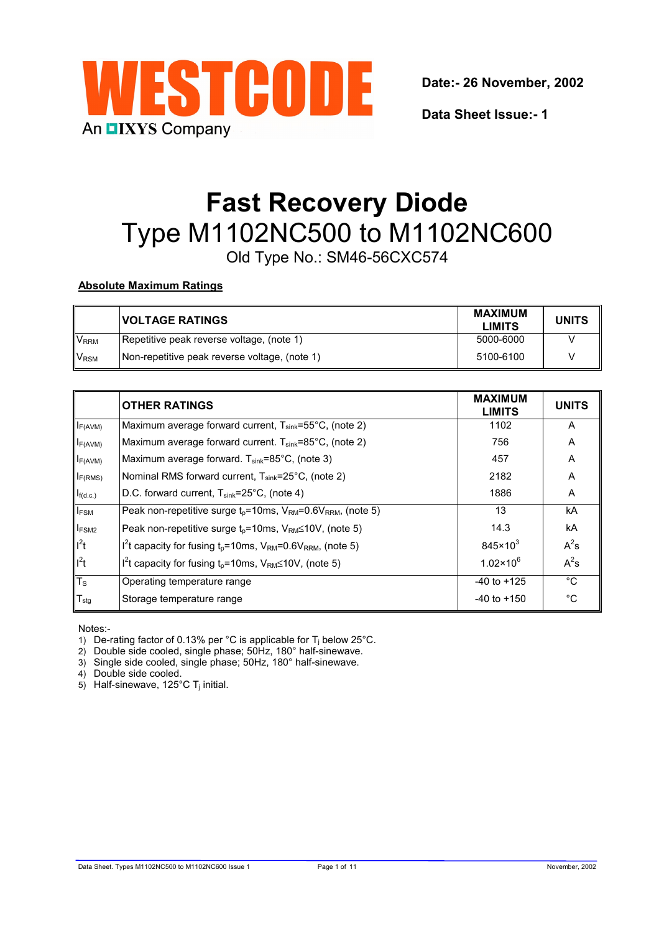

**Data Sheet Issue:- 1**

# **Fast Recovery Diode** Type M1102NC500 to M1102NC600

Old Type No.: SM46-56CXC574

# **Absolute Maximum Ratings**

|                        | <b>VOLTAGE RATINGS</b>                        | <b>MAXIMUM</b><br><b>LIMITS</b> | <b>UNITS</b> |
|------------------------|-----------------------------------------------|---------------------------------|--------------|
| <b>V<sub>RRM</sub></b> | Repetitive peak reverse voltage, (note 1)     | 5000-6000                       |              |
| <b>V<sub>RSM</sub></b> | Non-repetitive peak reverse voltage, (note 1) | 5100-6100                       |              |

|                   | <b>OTHER RATINGS</b>                                                                        | <b>MAXIMUM</b><br><b>LIMITS</b> | <b>UNITS</b> |
|-------------------|---------------------------------------------------------------------------------------------|---------------------------------|--------------|
| $I_{F(AVM)}$      | Maximum average forward current, T <sub>sink</sub> =55°C, (note 2)                          | 1102                            | A            |
| $I_{F(AVM)}$      | Maximum average forward current. T <sub>sink</sub> =85°C, (note 2)                          | 756                             | A            |
| $I_{F(AVM)}$      | Maximum average forward. T <sub>sink</sub> =85°C, (note 3)                                  | 457                             | A            |
| $I_{F(RMS)}$      | Nominal RMS forward current, T <sub>sink</sub> =25°C, (note 2)                              | 2182                            | A            |
| $I_{f(d.c.)}$     | D.C. forward current, T <sub>sink</sub> =25°C, (note 4)                                     | 1886                            | A            |
| <b>IFSM</b>       | Peak non-repetitive surge $t_p = 10$ ms, $V_{RM} = 0.6V_{RRM}$ , (note 5)                   | 13                              | kA           |
| I <sub>FSM2</sub> | Peak non-repetitive surge $t_p = 10$ ms, $V_{RM} \le 10V$ , (note 5)                        | 14.3                            | kA           |
| $I^2t$            | $I^{2}t$ capacity for fusing $t_{p}=10$ ms, V <sub>RM</sub> =0.6V <sub>RRM</sub> , (note 5) | $845 \times 10^{3}$             | $A^2s$       |
| $I^2t$            | $I2$ t capacity for fusing t <sub>p</sub> =10ms, V <sub>RM</sub> ≤10V, (note 5)             | $1.02 \times 10^{6}$            | $A^2s$       |
| $T_{\rm S}$       | Operating temperature range                                                                 | $-40$ to $+125$                 | °C           |
| $T_{\text{stg}}$  | Storage temperature range                                                                   | $-40$ to $+150$                 | $^{\circ}C$  |

Notes:-

1) De-rating factor of 0.13% per °C is applicable for  $T_i$  below 25°C.

2) Double side cooled, single phase; 50Hz, 180° half-sinewave.

3) Single side cooled, single phase; 50Hz, 180° half-sinewave.

4) Double side cooled.

5) Half-sinewave, 125 $\degree$ C T<sub>i</sub> initial.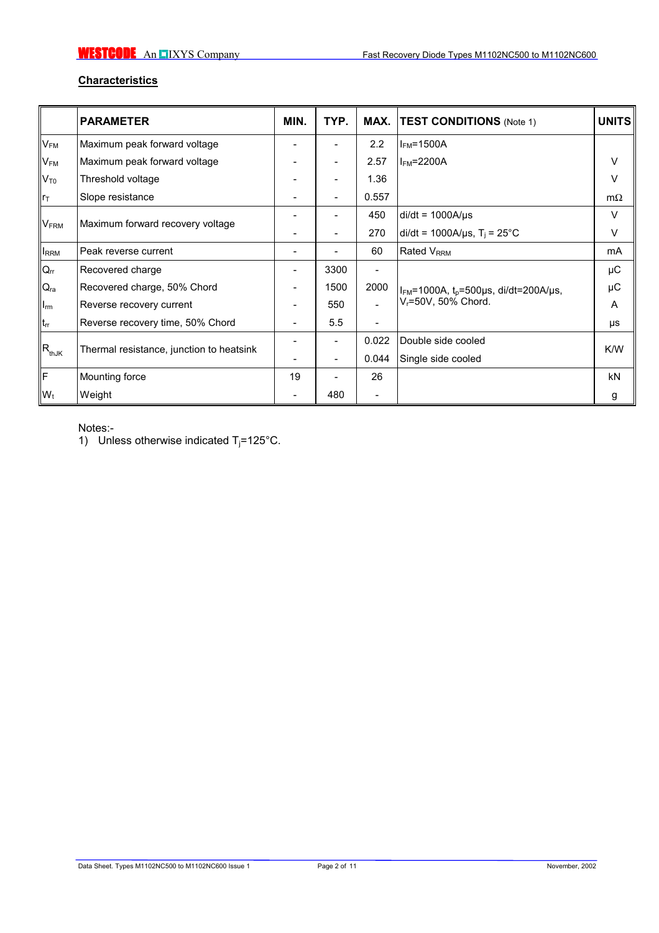# **Characteristics**

|                           | <b>PARAMETER</b>                         | MIN.                     | TYP.                     |                          | <b>MAX. TEST CONDITIONS</b> (Note 1)                                             | <b>UNITS</b> |
|---------------------------|------------------------------------------|--------------------------|--------------------------|--------------------------|----------------------------------------------------------------------------------|--------------|
| $\mathsf{V}_\mathsf{FM}$  | Maximum peak forward voltage             |                          |                          | 2.2                      | $I_{FM}$ =1500A                                                                  |              |
| V <sub>FM</sub>           | Maximum peak forward voltage             |                          | -                        | 2.57                     | $I_{FM}$ =2200A                                                                  | $\vee$       |
| $V_{\sf T0}$              | Threshold voltage                        |                          | ۰                        | 1.36                     |                                                                                  | V            |
| $r_{\text{T}}$            | Slope resistance                         |                          | $\overline{\phantom{a}}$ | 0.557                    |                                                                                  | $m\Omega$    |
|                           |                                          |                          |                          | 450                      | $di/dt = 1000A/\mu s$                                                            | V            |
| $\mathsf{V}_\mathsf{FRM}$ | Maximum forward recovery voltage         |                          |                          | 270                      | di/dt = 1000A/ $\mu$ s, T <sub>i</sub> = 25°C                                    | V            |
| <b>IRRM</b>               | Peak reverse current                     | -                        | Ξ.                       | 60                       | <b>Rated V<sub>RRM</sub></b>                                                     | mA           |
| $Q_{rr}$                  | Recovered charge                         |                          | 3300                     |                          |                                                                                  | μC           |
| $Q_{ra}$                  | Recovered charge, 50% Chord              |                          | 1500                     | 2000                     | $I_{FM}$ =1000A, $t_p$ =500µs, di/dt=200A/µs,<br>V <sub>r</sub> =50V, 50% Chord. | μC           |
| $I_{rm}$                  | Reverse recovery current                 |                          | 550                      |                          |                                                                                  | A            |
| $t_{rr}$                  | Reverse recovery time, 50% Chord         | $\overline{\phantom{a}}$ | 5.5                      | $\overline{\phantom{0}}$ |                                                                                  | μs           |
|                           |                                          |                          | $\overline{\phantom{0}}$ | 0.022                    | Double side cooled                                                               |              |
| $R_{thJK}$                | Thermal resistance, junction to heatsink |                          | ۰                        | 0.044                    | Single side cooled                                                               | K/W          |
| F                         | Mounting force                           | 19                       |                          | 26                       |                                                                                  | <b>kN</b>    |
| $W_t$                     | Weight                                   |                          | 480                      | $\qquad \qquad$          |                                                                                  | g            |

Notes:-

1) Unless otherwise indicated  $T_i = 125^{\circ}$ C.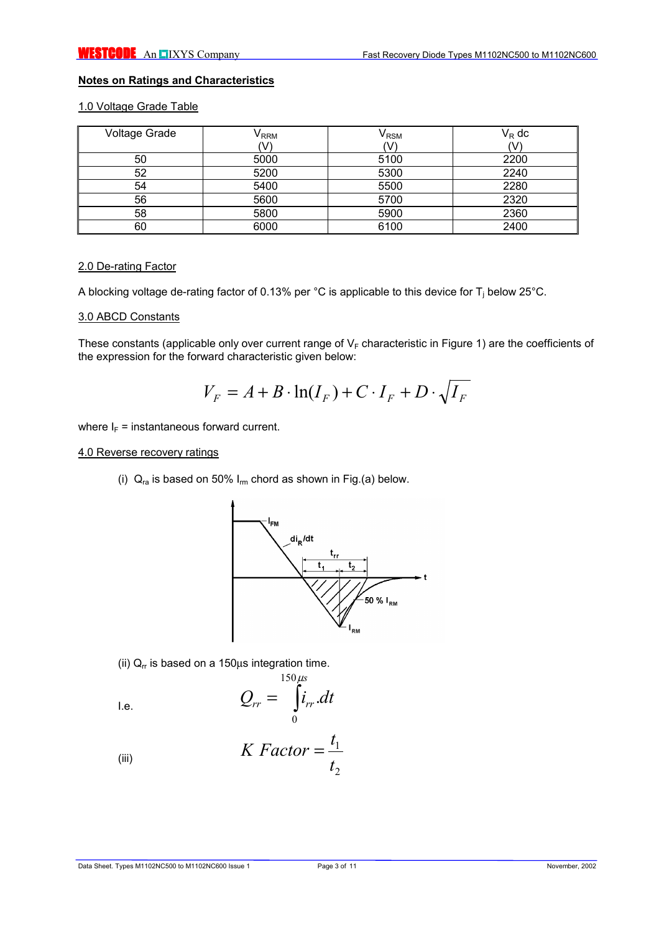# **Notes on Ratings and Characteristics**

# 1.0 Voltage Grade Table

| <b>Voltage Grade</b> | $V_{\sf RRM}$ | $\mathsf{V}_{\mathsf{RSM}}$ | $V_R$ dc |
|----------------------|---------------|-----------------------------|----------|
|                      | V             | (V                          | v        |
| 50                   | 5000          | 5100                        | 2200     |
| 52                   | 5200          | 5300                        | 2240     |
| 54                   | 5400          | 5500                        | 2280     |
| 56                   | 5600          | 5700                        | 2320     |
| 58                   | 5800          | 5900                        | 2360     |
| 60                   | 6000          | 6100                        | 2400     |

#### 2.0 De-rating Factor

A blocking voltage de-rating factor of 0.13% per °C is applicable to this device for T<sub>j</sub> below 25°C.

#### 3.0 ABCD Constants

These constants (applicable only over current range of  $V_F$  characteristic in Figure 1) are the coefficients of the expression for the forward characteristic given below:

$$
V_F = A + B \cdot \ln(I_F) + C \cdot I_F + D \cdot \sqrt{I_F}
$$

where  $I_F$  = instantaneous forward current.

#### 4.0 Reverse recovery ratings

(i)  $Q_{ra}$  is based on 50%  $I_{rm}$  chord as shown in Fig.(a) below.



(ii)  $Q_r$  is based on a 150 $\mu$ s integration time.

$$
Q_{rr} = \int_{0}^{150\,\mu s} i_{rr} dt
$$

(iii) 
$$
K \; Factor = \frac{t_1}{t_2}
$$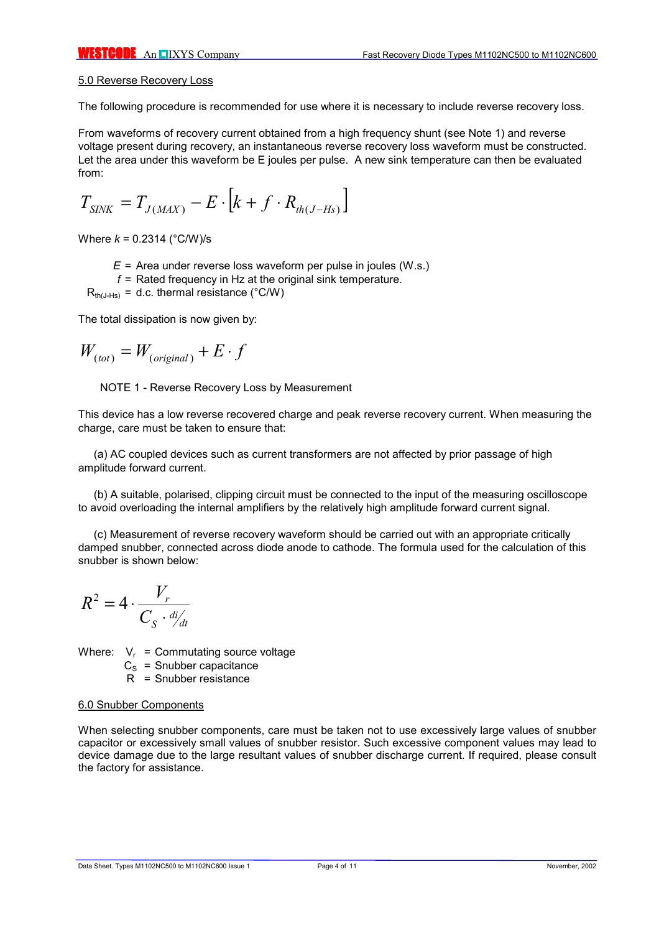#### 5.0 Reverse Recovery Loss

The following procedure is recommended for use where it is necessary to include reverse recovery loss.

From waveforms of recovery current obtained from a high frequency shunt (see Note 1) and reverse voltage present during recovery, an instantaneous reverse recovery loss waveform must be constructed. Let the area under this waveform be E joules per pulse. A new sink temperature can then be evaluated from:

$$
T_{\text{SINK}} = T_{J(\text{MAX})} - E \cdot \left[ k + f \cdot R_{\text{th}(J-Hs)} \right]
$$

Where *k* = 0.2314 (°C/W)/s

- *E* = Area under reverse loss waveform per pulse in joules (W.s.)
- *f* = Rated frequency in Hz at the original sink temperature.

 $R_{th(J-Hs)} = d.c.$  thermal resistance (°C/W)

The total dissipation is now given by:

$$
W_{(tot)} = W_{(original)} + E \cdot f
$$

NOTE 1 - Reverse Recovery Loss by Measurement

This device has a low reverse recovered charge and peak reverse recovery current. When measuring the charge, care must be taken to ensure that:

(a) AC coupled devices such as current transformers are not affected by prior passage of high amplitude forward current.

(b) A suitable, polarised, clipping circuit must be connected to the input of the measuring oscilloscope to avoid overloading the internal amplifiers by the relatively high amplitude forward current signal.

(c) Measurement of reverse recovery waveform should be carried out with an appropriate critically damped snubber, connected across diode anode to cathode. The formula used for the calculation of this snubber is shown below:

$$
R^2 = 4 \cdot \frac{V_r}{C_S \cdot \frac{di}{dt}}
$$

Where:  $V_r$  = Commutating source voltage

- $C<sub>S</sub>$  = Snubber capacitance
- R = Snubber resistance

#### 6.0 Snubber Components

When selecting snubber components, care must be taken not to use excessively large values of snubber capacitor or excessively small values of snubber resistor. Such excessive component values may lead to device damage due to the large resultant values of snubber discharge current. If required, please consult the factory for assistance.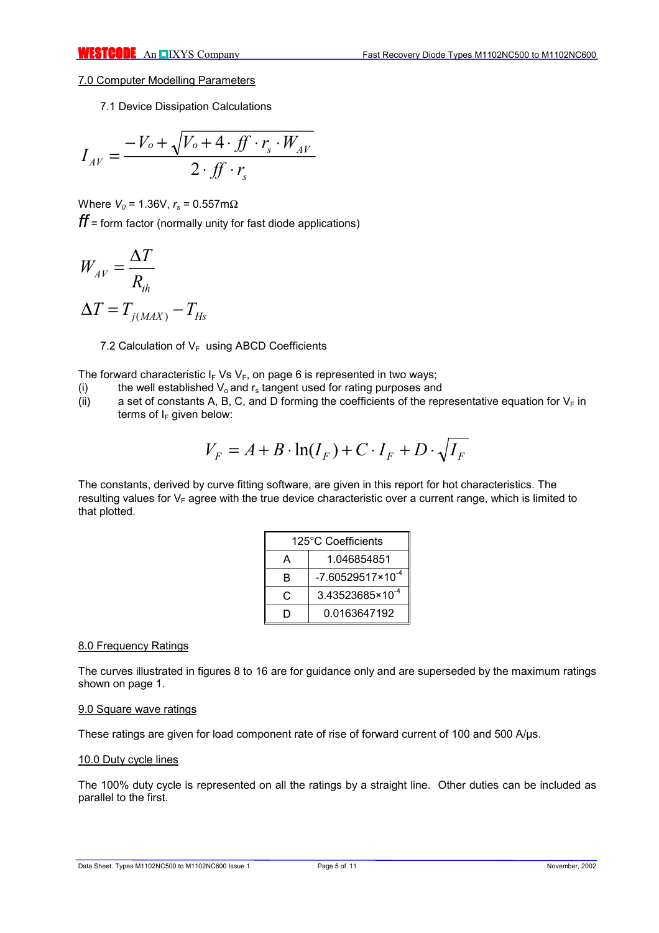### 7.0 Computer Modelling Parameters

7.1 Device Dissipation Calculations

$$
I_{AV} = \frac{-V_o + \sqrt{V_o + 4 \cdot ff \cdot r_s \cdot W_{AV}}}{2 \cdot ff \cdot r_s}
$$

Where  $V_0$  = 1.36V,  $r_s$  = 0.557mΩ

*ff* = form factor (normally unity for fast diode applications)

$$
W_{AV} = \frac{\Delta T}{R_{th}}
$$

$$
\Delta T = T_{j(MAX)} - T_{Hs}
$$

7.2 Calculation of  $V_F$  using ABCD Coefficients

The forward characteristic  $I_F$  Vs V<sub>F</sub>, on page 6 is represented in two ways;

- (i) the well established  $V_0$  and  $r_s$  tangent used for rating purposes and
- (ii) a set of constants A, B, C, and D forming the coefficients of the representative equation for  $V_F$  in terms of  $I_F$  given below:

$$
V_F = A + B \cdot \ln(I_F) + C \cdot I_F + D \cdot \sqrt{I_F}
$$

The constants, derived by curve fitting software, are given in this report for hot characteristics. The resulting values for  $V_F$  agree with the true device characteristic over a current range, which is limited to that plotted.

|   | 125°C Coefficients          |  |  |  |
|---|-----------------------------|--|--|--|
|   | 1.046854851                 |  |  |  |
| в | $-7.60529517\times10^{-4}$  |  |  |  |
| C | 3.43523685×10 <sup>-4</sup> |  |  |  |
|   | 0.0163647192                |  |  |  |

## 8.0 Frequency Ratings

The curves illustrated in figures 8 to 16 are for guidance only and are superseded by the maximum ratings shown on page 1.

#### 9.0 Square wave ratings

These ratings are given for load component rate of rise of forward current of 100 and 500 A/µs.

#### 10.0 Duty cycle lines

The 100% duty cycle is represented on all the ratings by a straight line. Other duties can be included as parallel to the first.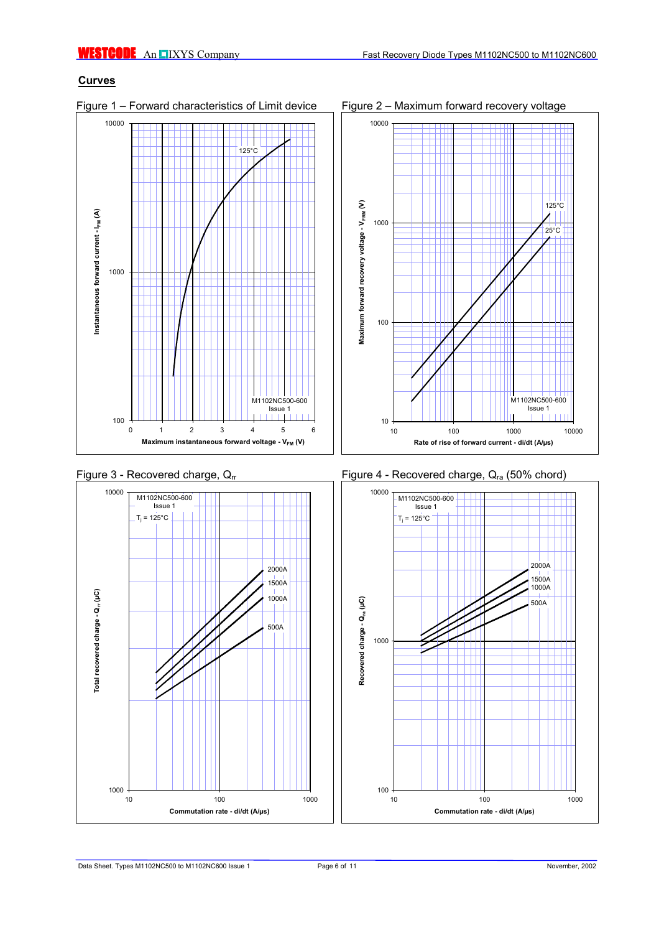# **Curves**

Figure 1 – Forward characteristics of Limit device Figure 2 – Maximum forward recovery voltage









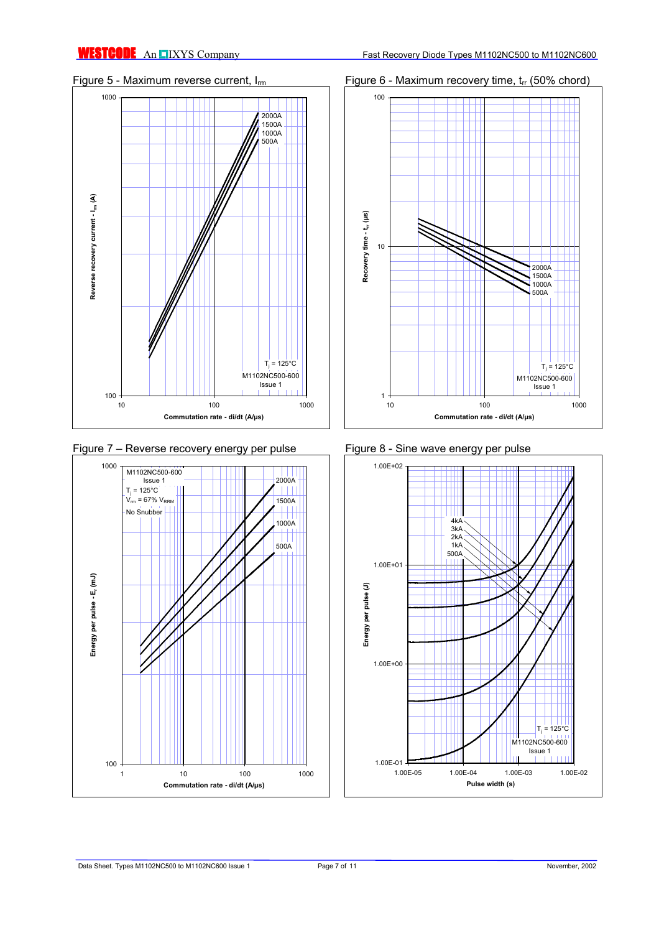





# Figure 5 - Maximum reverse current,  $I_{rm}$  Figure 6 - Maximum recovery time,  $t_{rr}$  (50% chord)



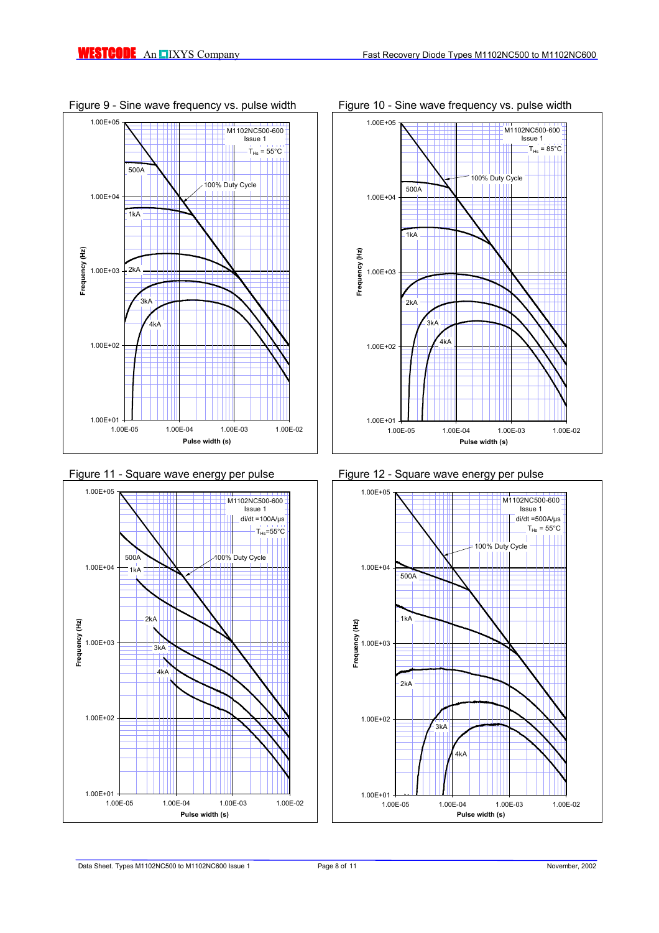







Figure 9 - Sine wave frequency vs. pulse width Figure 10 - Sine wave frequency vs. pulse width

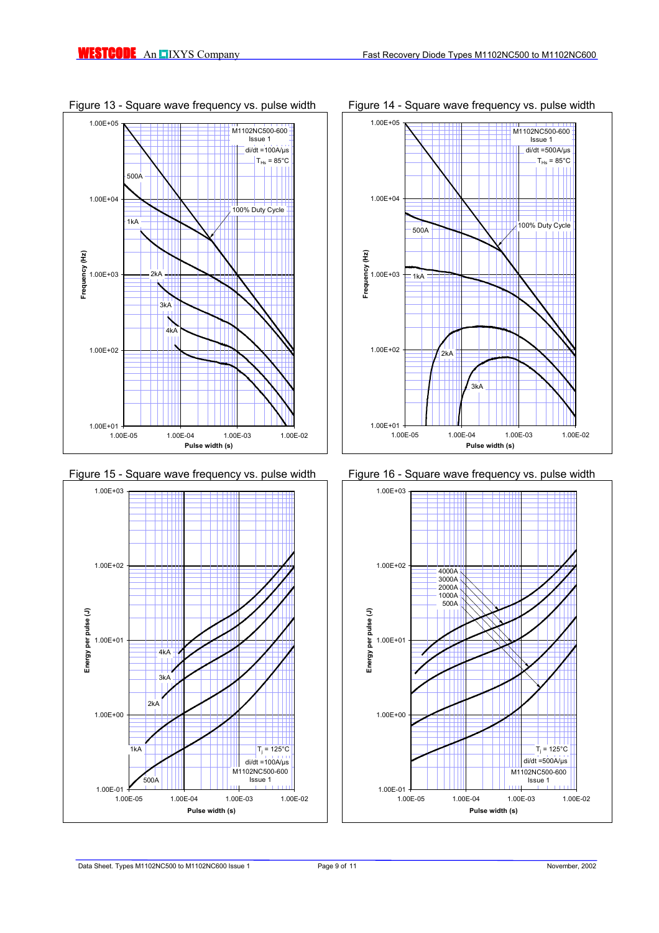

Figure 13 - Square wave frequency vs. pulse width Figure 14 - Square wave frequency vs. pulse width







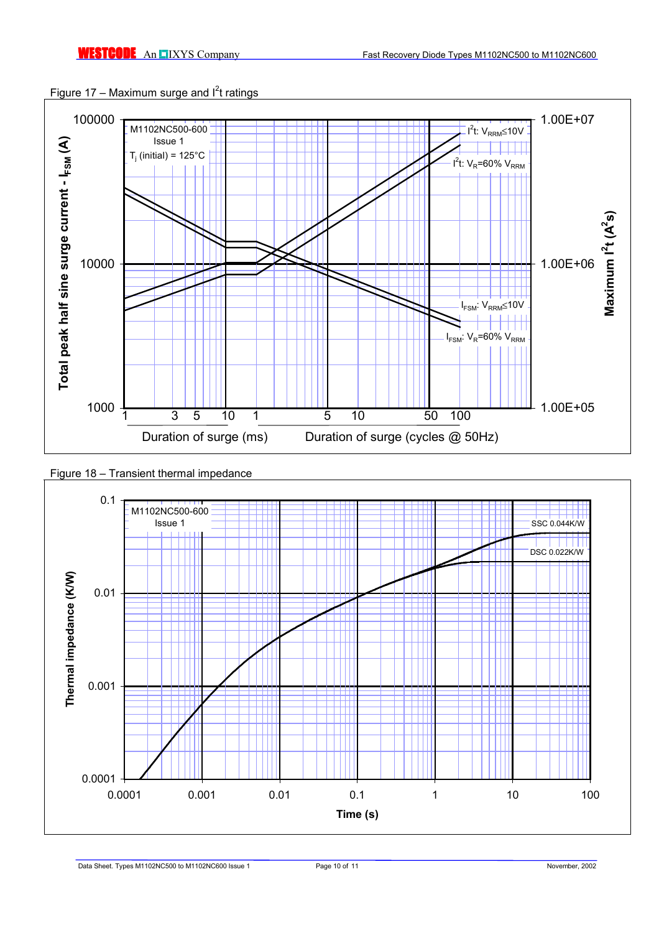



# Figure 18 – Transient thermal impedance